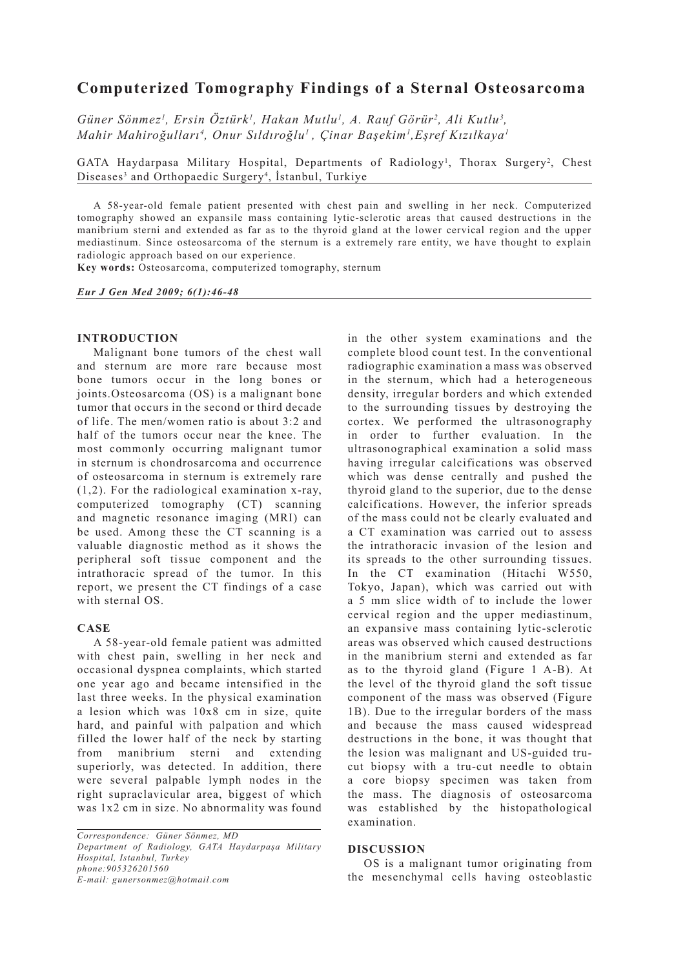# **Computerized Tomography Findings of a Sternal Osteosarcoma**

Güner Sönmez<sup>1</sup>, Ersin Öztürk<sup>1</sup>, Hakan Mutlu<sup>1</sup>, A. Rauf Görür<sup>2</sup>, Ali Kutlu<sup>3</sup>, *Mahir Mahiroğulları4 , Onur Sıldıroğlu1 , Çinar Başekim1 ,Eşref Kızılkaya1*

GATA Haydarpasa Military Hospital, Departments of Radiology<sup>1</sup>, Thorax Surgery<sup>2</sup>, Chest Diseases<sup>3</sup> and Orthopaedic Surgery<sup>4</sup>, İstanbul, Turkiye

A 58-year-old female patient presented with chest pain and swelling in her neck. Computerized tomography showed an expansile mass containing lytic-sclerotic areas that caused destructions in the manibrium sterni and extended as far as to the thyroid gland at the lower cervical region and the upper mediastinum. Since osteosarcoma of the sternum is a extremely rare entity, we have thought to explain radiologic approach based on our experience.

**Key words:** Osteosarcoma, computerized tomography, sternum

*Eur J Gen Med 2009; 6(1):46-48*

#### **INTRODUCTION**

Malignant bone tumors of the chest wall and sternum are more rare because most bone tumors occur in the long bones or joints.Osteosarcoma (OS) is a malignant bone tumor that occurs in the second or third decade of life. The men/women ratio is about 3:2 and half of the tumors occur near the knee. The most commonly occurring malignant tumor in sternum is chondrosarcoma and occurrence of osteosarcoma in sternum is extremely rare (1,2). For the radiological examination x-ray, computerized tomography (CT) scanning and magnetic resonance imaging (MRI) can be used. Among these the CT scanning is a valuable diagnostic method as it shows the peripheral soft tissue component and the intrathoracic spread of the tumor. In this report, we present the CT findings of a case with sternal OS.

### **CASE**

A 58-year-old female patient was admitted with chest pain, swelling in her neck and occasional dyspnea complaints, which started one year ago and became intensified in the last three weeks. In the physical examination a lesion which was 10x8 cm in size, quite hard, and painful with palpation and which filled the lower half of the neck by starting from manibrium sterni and extending superiorly, was detected. In addition, there were several palpable lymph nodes in the right supraclavicular area, biggest of which was 1x2 cm in size. No abnormality was found

*Correspondence: Güner Sönmez, MD Department of Radiology, GATA Haydarpaşa Military Hospital, Istanbul, Turkey phone:905326201560 E-mail: gunersonmez@hotmail.com*

in the other system examinations and the complete blood count test. In the conventional radiographic examination a mass was observed in the sternum, which had a heterogeneous density, irregular borders and which extended to the surrounding tissues by destroying the cortex. We performed the ultrasonography in order to further evaluation. In the ultrasonographical examination a solid mass having irregular calcifications was observed which was dense centrally and pushed the thyroid gland to the superior, due to the dense calcifications. However, the inferior spreads of the mass could not be clearly evaluated and a CT examination was carried out to assess the intrathoracic invasion of the lesion and its spreads to the other surrounding tissues. In the CT examination (Hitachi W550, Tokyo, Japan), which was carried out with a 5 mm slice width of to include the lower cervical region and the upper mediastinum, an expansive mass containing lytic-sclerotic areas was observed which caused destructions in the manibrium sterni and extended as far as to the thyroid gland (Figure 1 A-B). At the level of the thyroid gland the soft tissue component of the mass was observed (Figure 1B). Due to the irregular borders of the mass and because the mass caused widespread destructions in the bone, it was thought that the lesion was malignant and US-guided trucut biopsy with a tru-cut needle to obtain a core biopsy specimen was taken from the mass. The diagnosis of osteosarcoma was established by the histopathological examination.

### **DISCUSSION**

OS is a malignant tumor originating from the mesenchymal cells having osteoblastic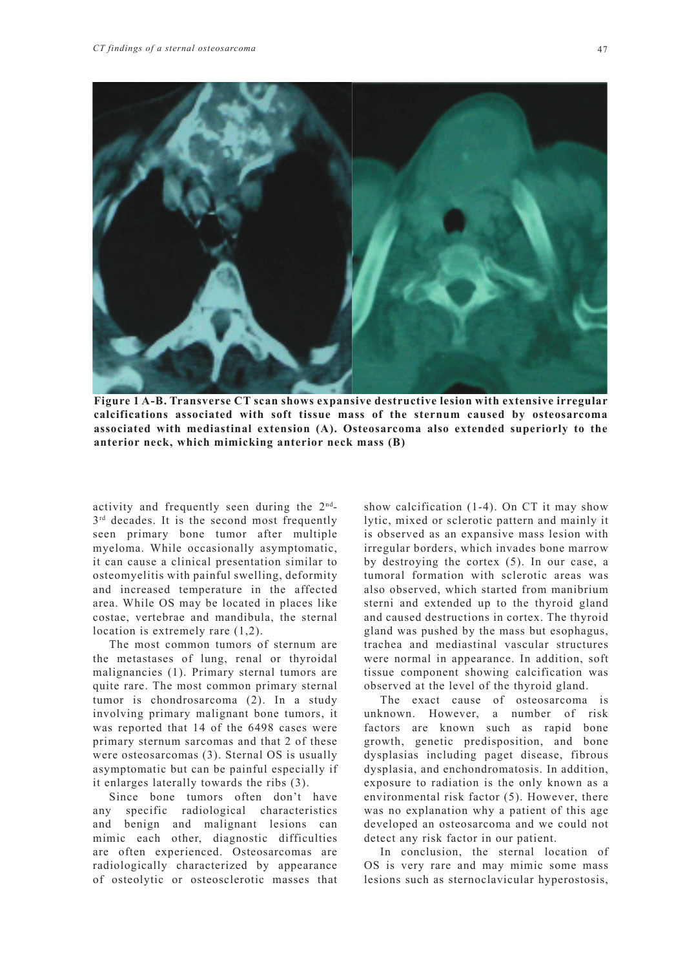

**Figure 1 A-B. Transverse CT scan shows expansive destructive lesion with extensive irregular calcifications associated with soft tissue mass of the sternum caused by osteosarcoma associated with mediastinal extension (A). Osteosarcoma also extended superiorly to the anterior neck, which mimicking anterior neck mass (B)**

activity and frequently seen during the  $2<sup>nd</sup>$ - $3<sup>rd</sup>$  decades. It is the second most frequently seen primary bone tumor after multiple myeloma. While occasionally asymptomatic, it can cause a clinical presentation similar to osteomyelitis with painful swelling, deformity and increased temperature in the affected area. While OS may be located in places like costae, vertebrae and mandibula, the sternal location is extremely rare (1,2).

The most common tumors of sternum are the metastases of lung, renal or thyroidal malignancies (1). Primary sternal tumors are quite rare. The most common primary sternal tumor is chondrosarcoma (2). In a study involving primary malignant bone tumors, it was reported that 14 of the 6498 cases were primary sternum sarcomas and that 2 of these were osteosarcomas (3). Sternal OS is usually asymptomatic but can be painful especially if it enlarges laterally towards the ribs (3).

Since bone tumors often don't have any specific radiological characteristics and benign and malignant lesions can mimic each other, diagnostic difficulties are often experienced. Osteosarcomas are radiologically characterized by appearance of osteolytic or osteosclerotic masses that show calcification (1-4). On CT it may show lytic, mixed or sclerotic pattern and mainly it is observed as an expansive mass lesion with irregular borders, which invades bone marrow by destroying the cortex (5). In our case, a tumoral formation with sclerotic areas was also observed, which started from manibrium sterni and extended up to the thyroid gland and caused destructions in cortex. The thyroid gland was pushed by the mass but esophagus, trachea and mediastinal vascular structures were normal in appearance. In addition, soft tissue component showing calcification was observed at the level of the thyroid gland.

The exact cause of osteosarcoma is unknown. However, a number of risk factors are known such as rapid bone growth, genetic predisposition, and bone dysplasias including paget disease, fibrous dysplasia, and enchondromatosis. In addition, exposure to radiation is the only known as a environmental risk factor (5). However, there was no explanation why a patient of this age developed an osteosarcoma and we could not detect any risk factor in our patient.

In conclusion, the sternal location of OS is very rare and may mimic some mass lesions such as sternoclavicular hyperostosis,